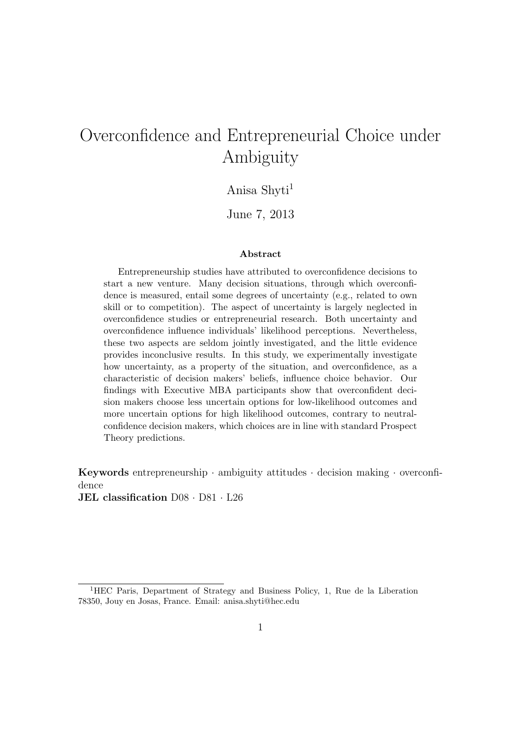# Overconfidence and Entrepreneurial Choice under Ambiguity

## Anisa Shyti<sup>1</sup>

June 7, 2013

#### Abstract

Entrepreneurship studies have attributed to overconfidence decisions to start a new venture. Many decision situations, through which overconfidence is measured, entail some degrees of uncertainty (e.g., related to own skill or to competition). The aspect of uncertainty is largely neglected in overconfidence studies or entrepreneurial research. Both uncertainty and overconfidence influence individuals' likelihood perceptions. Nevertheless, these two aspects are seldom jointly investigated, and the little evidence provides inconclusive results. In this study, we experimentally investigate how uncertainty, as a property of the situation, and overconfidence, as a characteristic of decision makers' beliefs, influence choice behavior. Our findings with Executive MBA participants show that overconfident decision makers choose less uncertain options for low-likelihood outcomes and more uncertain options for high likelihood outcomes, contrary to neutralconfidence decision makers, which choices are in line with standard Prospect Theory predictions.

Keywords entrepreneurship · ambiguity attitudes · decision making · overconfidence

JEL classification D08 · D81 · L26

<sup>1</sup>HEC Paris, Department of Strategy and Business Policy, 1, Rue de la Liberation 78350, Jouy en Josas, France. Email: anisa.shyti@hec.edu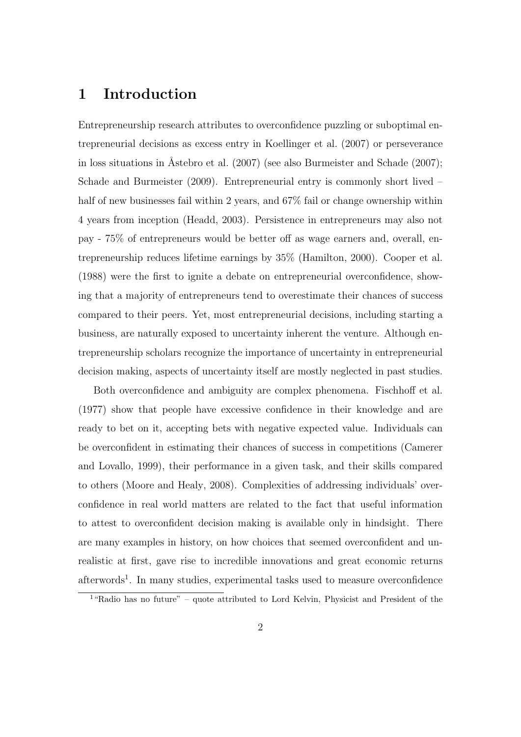## 1 Introduction

Entrepreneurship research attributes to overconfidence puzzling or suboptimal entrepreneurial decisions as excess entry in Koellinger et al. (2007) or perseverance in loss situations in Åstebro et al.  $(2007)$  (see also Burmeister and Schade  $(2007)$ ; Schade and Burmeister (2009). Entrepreneurial entry is commonly short lived – half of new businesses fail within 2 years, and  $67\%$  fail or change ownership within 4 years from inception (Headd, 2003). Persistence in entrepreneurs may also not pay - 75% of entrepreneurs would be better off as wage earners and, overall, entrepreneurship reduces lifetime earnings by 35% (Hamilton, 2000). Cooper et al. (1988) were the first to ignite a debate on entrepreneurial overconfidence, showing that a majority of entrepreneurs tend to overestimate their chances of success compared to their peers. Yet, most entrepreneurial decisions, including starting a business, are naturally exposed to uncertainty inherent the venture. Although entrepreneurship scholars recognize the importance of uncertainty in entrepreneurial decision making, aspects of uncertainty itself are mostly neglected in past studies.

Both overconfidence and ambiguity are complex phenomena. Fischhoff et al. (1977) show that people have excessive confidence in their knowledge and are ready to bet on it, accepting bets with negative expected value. Individuals can be overconfident in estimating their chances of success in competitions (Camerer and Lovallo, 1999), their performance in a given task, and their skills compared to others (Moore and Healy, 2008). Complexities of addressing individuals' overconfidence in real world matters are related to the fact that useful information to attest to overconfident decision making is available only in hindsight. There are many examples in history, on how choices that seemed overconfident and unrealistic at first, gave rise to incredible innovations and great economic returns afterwords<sup>1</sup>. In many studies, experimental tasks used to measure overconfidence

<sup>1</sup>"Radio has no future" – quote attributed to Lord Kelvin, Physicist and President of the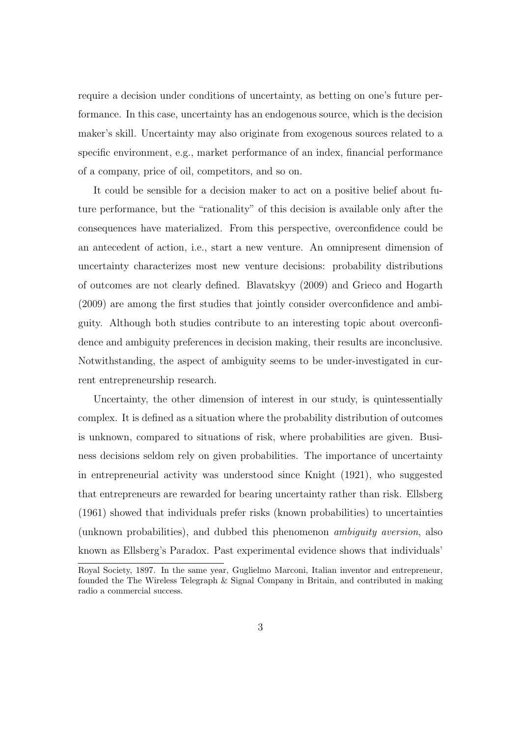require a decision under conditions of uncertainty, as betting on one's future performance. In this case, uncertainty has an endogenous source, which is the decision maker's skill. Uncertainty may also originate from exogenous sources related to a specific environment, e.g., market performance of an index, financial performance of a company, price of oil, competitors, and so on.

It could be sensible for a decision maker to act on a positive belief about future performance, but the "rationality" of this decision is available only after the consequences have materialized. From this perspective, overconfidence could be an antecedent of action, i.e., start a new venture. An omnipresent dimension of uncertainty characterizes most new venture decisions: probability distributions of outcomes are not clearly defined. Blavatskyy (2009) and Grieco and Hogarth (2009) are among the first studies that jointly consider overconfidence and ambiguity. Although both studies contribute to an interesting topic about overconfidence and ambiguity preferences in decision making, their results are inconclusive. Notwithstanding, the aspect of ambiguity seems to be under-investigated in current entrepreneurship research.

Uncertainty, the other dimension of interest in our study, is quintessentially complex. It is defined as a situation where the probability distribution of outcomes is unknown, compared to situations of risk, where probabilities are given. Business decisions seldom rely on given probabilities. The importance of uncertainty in entrepreneurial activity was understood since Knight (1921), who suggested that entrepreneurs are rewarded for bearing uncertainty rather than risk. Ellsberg (1961) showed that individuals prefer risks (known probabilities) to uncertainties (unknown probabilities), and dubbed this phenomenon ambiguity aversion, also known as Ellsberg's Paradox. Past experimental evidence shows that individuals'

Royal Society, 1897. In the same year, Guglielmo Marconi, Italian inventor and entrepreneur, founded the The Wireless Telegraph & Signal Company in Britain, and contributed in making radio a commercial success.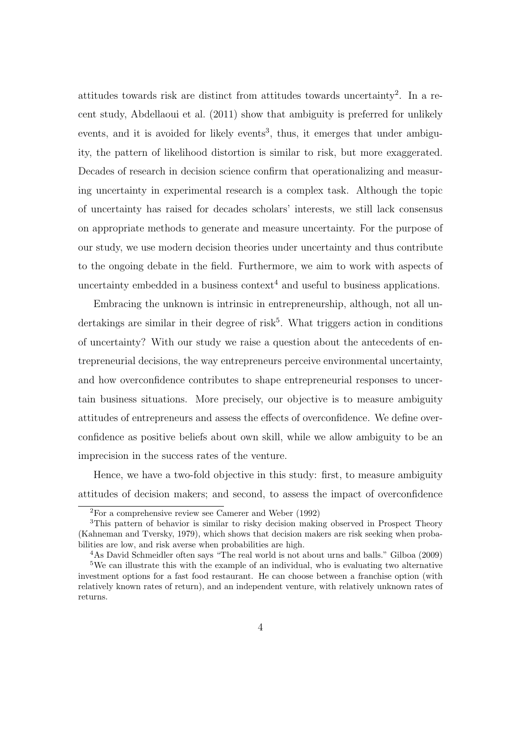attitudes towards risk are distinct from attitudes towards uncertainty<sup>2</sup> . In a recent study, Abdellaoui et al. (2011) show that ambiguity is preferred for unlikely events, and it is avoided for likely events<sup>3</sup>, thus, it emerges that under ambiguity, the pattern of likelihood distortion is similar to risk, but more exaggerated. Decades of research in decision science confirm that operationalizing and measuring uncertainty in experimental research is a complex task. Although the topic of uncertainty has raised for decades scholars' interests, we still lack consensus on appropriate methods to generate and measure uncertainty. For the purpose of our study, we use modern decision theories under uncertainty and thus contribute to the ongoing debate in the field. Furthermore, we aim to work with aspects of uncertainty embedded in a business context<sup>4</sup> and useful to business applications.

Embracing the unknown is intrinsic in entrepreneurship, although, not all undertakings are similar in their degree of risk<sup>5</sup>. What triggers action in conditions of uncertainty? With our study we raise a question about the antecedents of entrepreneurial decisions, the way entrepreneurs perceive environmental uncertainty, and how overconfidence contributes to shape entrepreneurial responses to uncertain business situations. More precisely, our objective is to measure ambiguity attitudes of entrepreneurs and assess the effects of overconfidence. We define overconfidence as positive beliefs about own skill, while we allow ambiguity to be an imprecision in the success rates of the venture.

Hence, we have a two-fold objective in this study: first, to measure ambiguity attitudes of decision makers; and second, to assess the impact of overconfidence

 ${}^{2}$ For a comprehensive review see Camerer and Weber (1992)

<sup>3</sup>This pattern of behavior is similar to risky decision making observed in Prospect Theory (Kahneman and Tversky, 1979), which shows that decision makers are risk seeking when probabilities are low, and risk averse when probabilities are high.

<sup>4</sup>As David Schmeidler often says "The real world is not about urns and balls." Gilboa (2009)

<sup>5</sup>We can illustrate this with the example of an individual, who is evaluating two alternative investment options for a fast food restaurant. He can choose between a franchise option (with relatively known rates of return), and an independent venture, with relatively unknown rates of returns.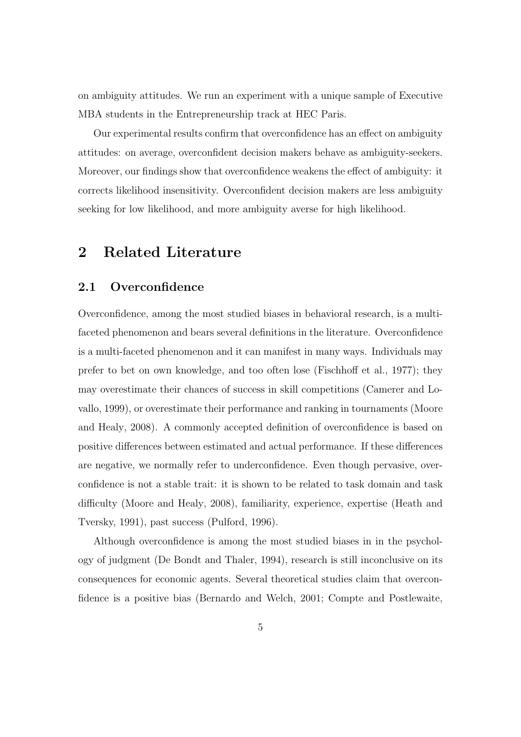on ambiguity attitudes. We run an experiment with a unique sample of Executive MBA students in the Entrepreneurship track at HEC Paris.

Our experimental results confirm that overconfidence has an effect on ambiguity attitudes: on average, overconfident decision makers behave as ambiguity-seekers. Moreover, our findings show that overconfidence weakens the effect of ambiguity: it corrects likelihood insensitivity. Overconfident decision makers are less ambiguity seeking for low likelihood, and more ambiguity averse for high likelihood.

## 2 Related Literature

### 2.1 Overconfidence

Overconfidence, among the most studied biases in behavioral research, is a multifaceted phenomenon and bears several definitions in the literature. Overconfidence is a multi-faceted phenomenon and it can manifest in many ways. Individuals may prefer to bet on own knowledge, and too often lose (Fischhoff et al., 1977); they may overestimate their chances of success in skill competitions (Camerer and Lovallo, 1999), or overestimate their performance and ranking in tournaments (Moore and Healy, 2008). A commonly accepted definition of overconfidence is based on positive differences between estimated and actual performance. If these differences are negative, we normally refer to underconfidence. Even though pervasive, overconfidence is not a stable trait: it is shown to be related to task domain and task difficulty (Moore and Healy, 2008), familiarity, experience, expertise (Heath and Tversky, 1991), past success (Pulford, 1996).

Although overconfidence is among the most studied biases in in the psychology of judgment (De Bondt and Thaler, 1994), research is still inconclusive on its consequences for economic agents. Several theoretical studies claim that overconfidence is a positive bias (Bernardo and Welch, 2001; Compte and Postlewaite,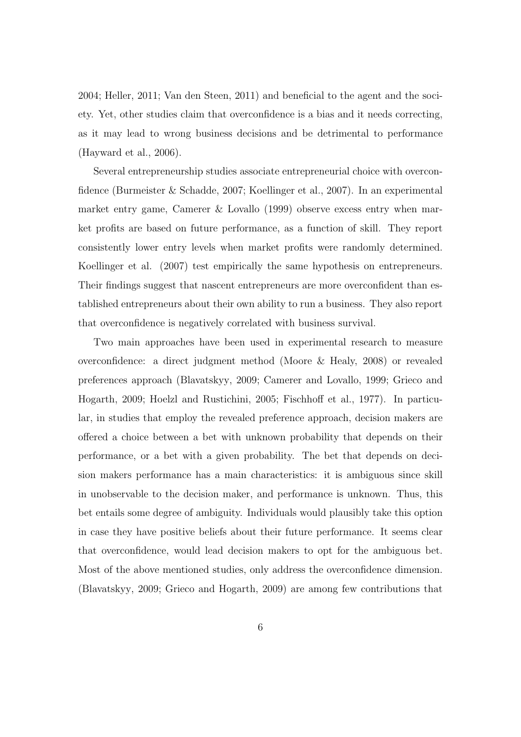2004; Heller, 2011; Van den Steen, 2011) and beneficial to the agent and the society. Yet, other studies claim that overconfidence is a bias and it needs correcting, as it may lead to wrong business decisions and be detrimental to performance (Hayward et al., 2006).

Several entrepreneurship studies associate entrepreneurial choice with overconfidence (Burmeister & Schadde, 2007; Koellinger et al., 2007). In an experimental market entry game, Camerer & Lovallo (1999) observe excess entry when market profits are based on future performance, as a function of skill. They report consistently lower entry levels when market profits were randomly determined. Koellinger et al. (2007) test empirically the same hypothesis on entrepreneurs. Their findings suggest that nascent entrepreneurs are more overconfident than established entrepreneurs about their own ability to run a business. They also report that overconfidence is negatively correlated with business survival.

Two main approaches have been used in experimental research to measure overconfidence: a direct judgment method (Moore & Healy, 2008) or revealed preferences approach (Blavatskyy, 2009; Camerer and Lovallo, 1999; Grieco and Hogarth, 2009; Hoelzl and Rustichini, 2005; Fischhoff et al., 1977). In particular, in studies that employ the revealed preference approach, decision makers are offered a choice between a bet with unknown probability that depends on their performance, or a bet with a given probability. The bet that depends on decision makers performance has a main characteristics: it is ambiguous since skill in unobservable to the decision maker, and performance is unknown. Thus, this bet entails some degree of ambiguity. Individuals would plausibly take this option in case they have positive beliefs about their future performance. It seems clear that overconfidence, would lead decision makers to opt for the ambiguous bet. Most of the above mentioned studies, only address the overconfidence dimension. (Blavatskyy, 2009; Grieco and Hogarth, 2009) are among few contributions that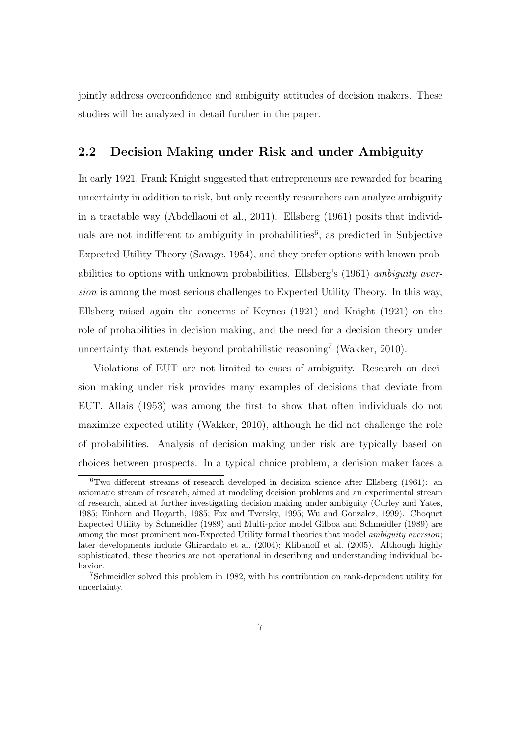jointly address overconfidence and ambiguity attitudes of decision makers. These studies will be analyzed in detail further in the paper.

## 2.2 Decision Making under Risk and under Ambiguity

In early 1921, Frank Knight suggested that entrepreneurs are rewarded for bearing uncertainty in addition to risk, but only recently researchers can analyze ambiguity in a tractable way (Abdellaoui et al., 2011). Ellsberg (1961) posits that individuals are not indifferent to ambiguity in probabilities<sup>6</sup>, as predicted in Subjective Expected Utility Theory (Savage, 1954), and they prefer options with known probabilities to options with unknown probabilities. Ellsberg's (1961) ambiguity aversion is among the most serious challenges to Expected Utility Theory. In this way, Ellsberg raised again the concerns of Keynes (1921) and Knight (1921) on the role of probabilities in decision making, and the need for a decision theory under uncertainty that extends beyond probabilistic reasoning<sup>7</sup> (Wakker, 2010).

Violations of EUT are not limited to cases of ambiguity. Research on decision making under risk provides many examples of decisions that deviate from EUT. Allais (1953) was among the first to show that often individuals do not maximize expected utility (Wakker, 2010), although he did not challenge the role of probabilities. Analysis of decision making under risk are typically based on choices between prospects. In a typical choice problem, a decision maker faces a

 $6$ Two different streams of research developed in decision science after Ellsberg (1961): an axiomatic stream of research, aimed at modeling decision problems and an experimental stream of research, aimed at further investigating decision making under ambiguity (Curley and Yates, 1985; Einhorn and Hogarth, 1985; Fox and Tversky, 1995; Wu and Gonzalez, 1999). Choquet Expected Utility by Schmeidler (1989) and Multi-prior model Gilboa and Schmeidler (1989) are among the most prominent non-Expected Utility formal theories that model *ambiguity aversion*; later developments include Ghirardato et al. (2004); Klibanoff et al. (2005). Although highly sophisticated, these theories are not operational in describing and understanding individual behavior.

<sup>7</sup>Schmeidler solved this problem in 1982, with his contribution on rank-dependent utility for uncertainty.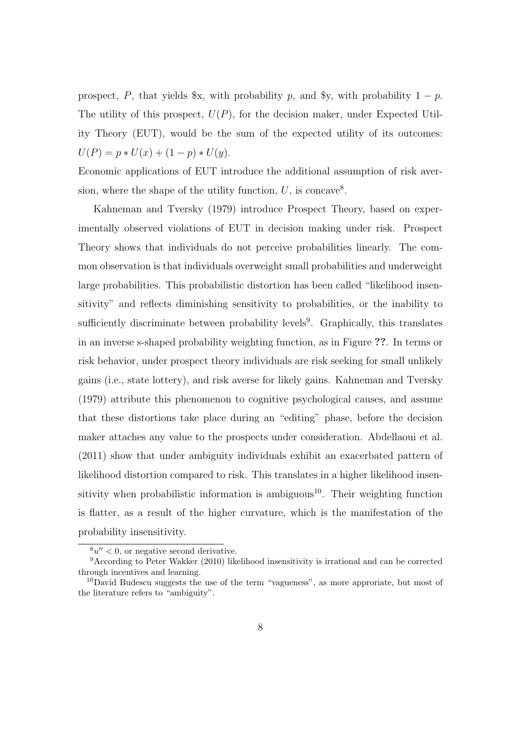prospect, P, that yields  $x$ , with probability p, and  $y$ , with probability  $1 - p$ . The utility of this prospect,  $U(P)$ , for the decision maker, under Expected Utility Theory (EUT), would be the sum of the expected utility of its outcomes:  $U(P) = p * U(x) + (1 - p) * U(y).$ 

Economic applications of EUT introduce the additional assumption of risk aversion, where the shape of the utility function,  $U$ , is concave<sup>8</sup>.

Kahneman and Tversky (1979) introduce Prospect Theory, based on experimentally observed violations of EUT in decision making under risk. Prospect Theory shows that individuals do not perceive probabilities linearly. The common observation is that individuals overweight small probabilities and underweight large probabilities. This probabilistic distortion has been called "likelihood insensitivity" and reflects diminishing sensitivity to probabilities, or the inability to sufficiently discriminate between probability levels<sup>9</sup>. Graphically, this translates in an inverse s-shaped probability weighting function, as in Figure ??. In terms or risk behavior, under prospect theory individuals are risk seeking for small unlikely gains (i.e., state lottery), and risk averse for likely gains. Kahneman and Tversky (1979) attribute this phenomenon to cognitive psychological causes, and assume that these distortions take place during an "editing" phase, before the decision maker attaches any value to the prospects under consideration. Abdellaoui et al. (2011) show that under ambiguity individuals exhibit an exacerbated pattern of likelihood distortion compared to risk. This translates in a higher likelihood insensitivity when probabilistic information is ambiguous<sup>10</sup>. Their weighting function is flatter, as a result of the higher curvature, which is the manifestation of the probability insensitivity.

 $8u'' < 0$ , or negative second derivative.

<sup>9</sup>According to Peter Wakker (2010) likelihood insensitivity is irrational and can be corrected through incentives and learning.

 $10$ David Budescu suggests the use of the term "vagueness", as more approriate, but most of the literature refers to "ambiguity".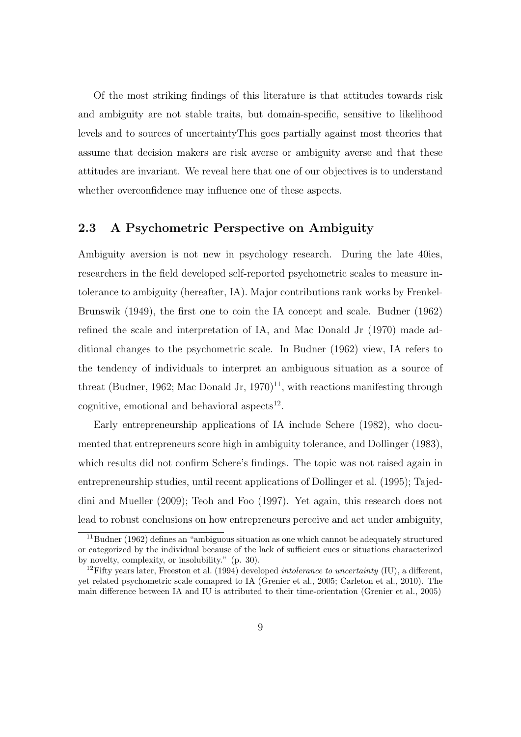Of the most striking findings of this literature is that attitudes towards risk and ambiguity are not stable traits, but domain-specific, sensitive to likelihood levels and to sources of uncertaintyThis goes partially against most theories that assume that decision makers are risk averse or ambiguity averse and that these attitudes are invariant. We reveal here that one of our objectives is to understand whether overconfidence may influence one of these aspects.

### 2.3 A Psychometric Perspective on Ambiguity

Ambiguity aversion is not new in psychology research. During the late 40ies, researchers in the field developed self-reported psychometric scales to measure intolerance to ambiguity (hereafter, IA). Major contributions rank works by Frenkel-Brunswik (1949), the first one to coin the IA concept and scale. Budner (1962) refined the scale and interpretation of IA, and Mac Donald Jr (1970) made additional changes to the psychometric scale. In Budner (1962) view, IA refers to the tendency of individuals to interpret an ambiguous situation as a source of threat (Budner, 1962; Mac Donald Jr, 1970)<sup>11</sup>, with reactions manifesting through cognitive, emotional and behavioral aspects $^{12}$ .

Early entrepreneurship applications of IA include Schere (1982), who documented that entrepreneurs score high in ambiguity tolerance, and Dollinger (1983), which results did not confirm Schere's findings. The topic was not raised again in entrepreneurship studies, until recent applications of Dollinger et al. (1995); Tajeddini and Mueller (2009); Teoh and Foo (1997). Yet again, this research does not lead to robust conclusions on how entrepreneurs perceive and act under ambiguity,

 $11$ Budner (1962) defines an "ambiguous situation as one which cannot be adequately structured or categorized by the individual because of the lack of sufficient cues or situations characterized by novelty, complexity, or insolubility." (p. 30).

<sup>&</sup>lt;sup>12</sup>Fifty years later, Freeston et al. (1994) developed *intolerance to uncertainty* (IU), a different, yet related psychometric scale comapred to IA (Grenier et al., 2005; Carleton et al., 2010). The main difference between IA and IU is attributed to their time-orientation (Grenier et al., 2005)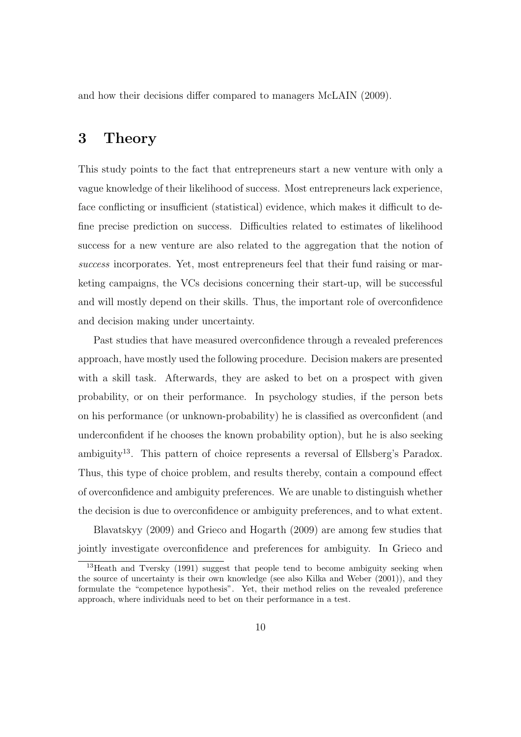and how their decisions differ compared to managers McLAIN (2009).

## 3 Theory

This study points to the fact that entrepreneurs start a new venture with only a vague knowledge of their likelihood of success. Most entrepreneurs lack experience, face conflicting or insufficient (statistical) evidence, which makes it difficult to define precise prediction on success. Difficulties related to estimates of likelihood success for a new venture are also related to the aggregation that the notion of success incorporates. Yet, most entrepreneurs feel that their fund raising or marketing campaigns, the VCs decisions concerning their start-up, will be successful and will mostly depend on their skills. Thus, the important role of overconfidence and decision making under uncertainty.

Past studies that have measured overconfidence through a revealed preferences approach, have mostly used the following procedure. Decision makers are presented with a skill task. Afterwards, they are asked to bet on a prospect with given probability, or on their performance. In psychology studies, if the person bets on his performance (or unknown-probability) he is classified as overconfident (and underconfident if he chooses the known probability option), but he is also seeking ambiguity<sup>13</sup>. This pattern of choice represents a reversal of Ellsberg's Paradox. Thus, this type of choice problem, and results thereby, contain a compound effect of overconfidence and ambiguity preferences. We are unable to distinguish whether the decision is due to overconfidence or ambiguity preferences, and to what extent.

Blavatskyy (2009) and Grieco and Hogarth (2009) are among few studies that jointly investigate overconfidence and preferences for ambiguity. In Grieco and

<sup>&</sup>lt;sup>13</sup>Heath and Tversky (1991) suggest that people tend to become ambiguity seeking when the source of uncertainty is their own knowledge (see also Kilka and Weber (2001)), and they formulate the "competence hypothesis". Yet, their method relies on the revealed preference approach, where individuals need to bet on their performance in a test.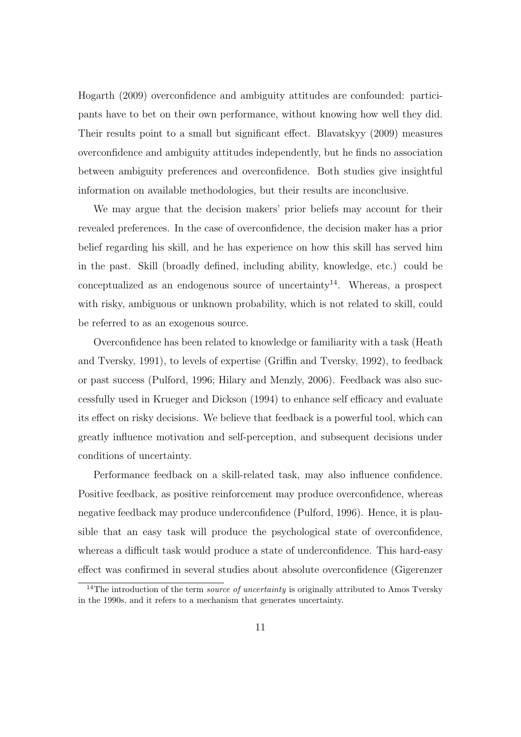Hogarth (2009) overconfidence and ambiguity attitudes are confounded: participants have to bet on their own performance, without knowing how well they did. Their results point to a small but significant effect. Blavatskyy (2009) measures overconfidence and ambiguity attitudes independently, but he finds no association between ambiguity preferences and overconfidence. Both studies give insightful information on available methodologies, but their results are inconclusive.

We may argue that the decision makers' prior beliefs may account for their revealed preferences. In the case of overconfidence, the decision maker has a prior belief regarding his skill, and he has experience on how this skill has served him in the past. Skill (broadly defined, including ability, knowledge, etc.) could be conceptualized as an endogenous source of uncertainty<sup>14</sup>. Whereas, a prospect with risky, ambiguous or unknown probability, which is not related to skill, could be referred to as an exogenous source.

Overconfidence has been related to knowledge or familiarity with a task (Heath and Tversky, 1991), to levels of expertise (Griffin and Tversky, 1992), to feedback or past success (Pulford, 1996; Hilary and Menzly, 2006). Feedback was also successfully used in Krueger and Dickson (1994) to enhance self efficacy and evaluate its effect on risky decisions. We believe that feedback is a powerful tool, which can greatly influence motivation and self-perception, and subsequent decisions under conditions of uncertainty.

Performance feedback on a skill-related task, may also influence confidence. Positive feedback, as positive reinforcement may produce overconfidence, whereas negative feedback may produce underconfidence (Pulford, 1996). Hence, it is plausible that an easy task will produce the psychological state of overconfidence, whereas a difficult task would produce a state of underconfidence. This hard-easy effect was confirmed in several studies about absolute overconfidence (Gigerenzer

<sup>&</sup>lt;sup>14</sup>The introduction of the term *source of uncertainty* is originally attributed to Amos Tversky in the 1990s, and it refers to a mechanism that generates uncertainty.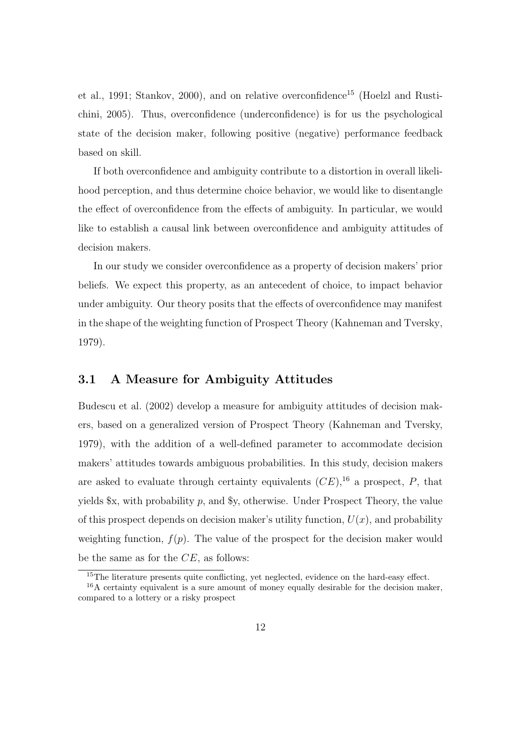et al., 1991; Stankov, 2000), and on relative overconfidence<sup>15</sup> (Hoelzl and Rustichini, 2005). Thus, overconfidence (underconfidence) is for us the psychological state of the decision maker, following positive (negative) performance feedback based on skill.

If both overconfidence and ambiguity contribute to a distortion in overall likelihood perception, and thus determine choice behavior, we would like to disentangle the effect of overconfidence from the effects of ambiguity. In particular, we would like to establish a causal link between overconfidence and ambiguity attitudes of decision makers.

In our study we consider overconfidence as a property of decision makers' prior beliefs. We expect this property, as an antecedent of choice, to impact behavior under ambiguity. Our theory posits that the effects of overconfidence may manifest in the shape of the weighting function of Prospect Theory (Kahneman and Tversky, 1979).

### 3.1 A Measure for Ambiguity Attitudes

Budescu et al. (2002) develop a measure for ambiguity attitudes of decision makers, based on a generalized version of Prospect Theory (Kahneman and Tversky, 1979), with the addition of a well-defined parameter to accommodate decision makers' attitudes towards ambiguous probabilities. In this study, decision makers are asked to evaluate through certainty equivalents  $(CE)$ , <sup>16</sup> a prospect, P, that yields  $x$ , with probability p, and  $y$ , otherwise. Under Prospect Theory, the value of this prospect depends on decision maker's utility function,  $U(x)$ , and probability weighting function,  $f(p)$ . The value of the prospect for the decision maker would be the same as for the  $CE$ , as follows:

<sup>&</sup>lt;sup>15</sup>The literature presents quite conflicting, yet neglected, evidence on the hard-easy effect.

<sup>16</sup>A certainty equivalent is a sure amount of money equally desirable for the decision maker, compared to a lottery or a risky prospect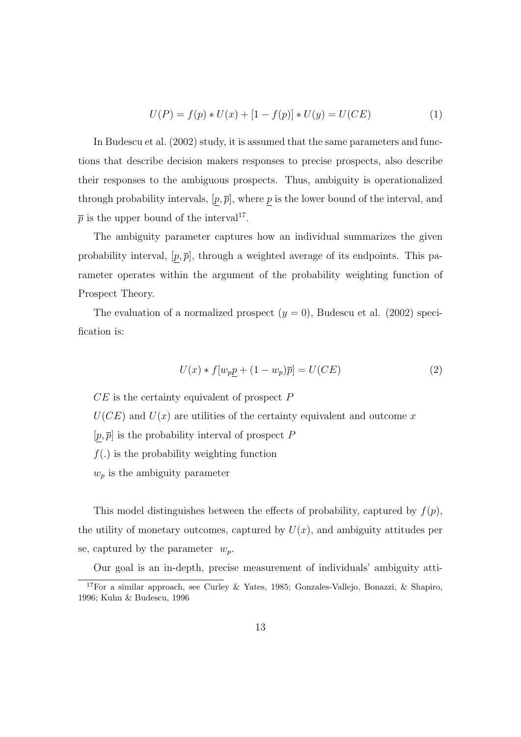$$
U(P) = f(p) * U(x) + [1 - f(p)] * U(y) = U(CE)
$$
\n(1)

In Budescu et al. (2002) study, it is assumed that the same parameters and functions that describe decision makers responses to precise prospects, also describe their responses to the ambiguous prospects. Thus, ambiguity is operationalized through probability intervals,  $[p, \overline{p}]$ , where p is the lower bound of the interval, and  $\bar{p}$  is the upper bound of the interval<sup>17</sup>.

The ambiguity parameter captures how an individual summarizes the given probability interval,  $[p, \overline{p}]$ , through a weighted average of its endpoints. This parameter operates within the argument of the probability weighting function of Prospect Theory.

The evaluation of a normalized prospect  $(y = 0)$ , Budescu et al. (2002) specification is:

$$
U(x) * f[w_p p + (1 - w_p)\overline{p}] = U(CE)
$$
\n<sup>(2)</sup>

 $CE$  is the certainty equivalent of prospect  $P$ 

 $U(CE)$  and  $U(x)$  are utilities of the certainty equivalent and outcome x

 $[p, \overline{p}]$  is the probability interval of prospect P

 $f(.)$  is the probability weighting function

 $w_p$  is the ambiguity parameter

This model distinguishes between the effects of probability, captured by  $f(p)$ , the utility of monetary outcomes, captured by  $U(x)$ , and ambiguity attitudes per se, captured by the parameter  $w_p$ .

Our goal is an in-depth, precise measurement of individuals' ambiguity atti-

<sup>17</sup>For a similar approach, see Curley & Yates, 1985; Gonzales-Vallejo, Bonazzi, & Shapiro, 1996; Kuhn & Budescu, 1996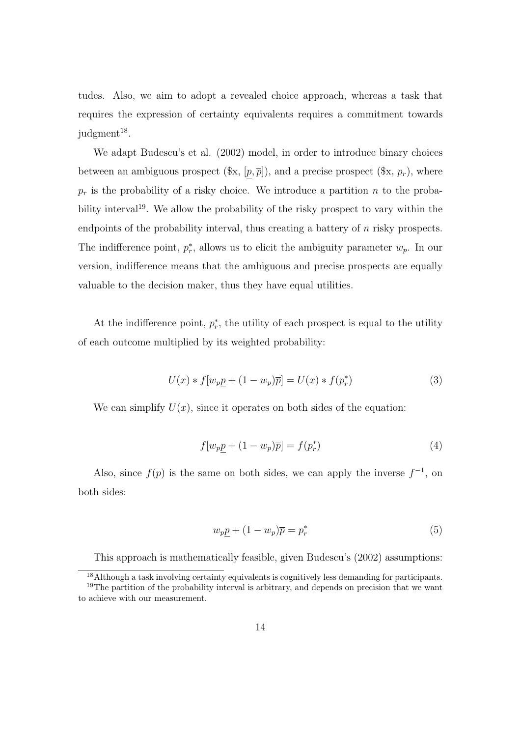tudes. Also, we aim to adopt a revealed choice approach, whereas a task that requires the expression of certainty equivalents requires a commitment towards  $j$ udgment<sup>18</sup>.

We adapt Budescu's et al. (2002) model, in order to introduce binary choices between an ambiguous prospect  $(\mathscr{X}, [p, \overline{p}])$ , and a precise prospect  $(\mathscr{X}, p_r)$ , where  $p_r$  is the probability of a risky choice. We introduce a partition n to the probability interval<sup>19</sup>. We allow the probability of the risky prospect to vary within the endpoints of the probability interval, thus creating a battery of n risky prospects. The indifference point,  $p_r^*$ , allows us to elicit the ambiguity parameter  $w_p$ . In our version, indifference means that the ambiguous and precise prospects are equally valuable to the decision maker, thus they have equal utilities.

At the indifference point,  $p_r^*$ , the utility of each prospect is equal to the utility of each outcome multiplied by its weighted probability:

$$
U(x) * f[w_p \underline{p} + (1 - w_p)\overline{p}] = U(x) * f(p_r^*)
$$
\n(3)

We can simplify  $U(x)$ , since it operates on both sides of the equation:

$$
f[w_p \underline{p} + (1 - w_p)\overline{p}] = f(p_r^*)
$$
\n(4)

Also, since  $f(p)$  is the same on both sides, we can apply the inverse  $f^{-1}$ , on both sides:

$$
w_p \underline{p} + (1 - w_p)\overline{p} = p_r^*
$$
\n<sup>(5)</sup>

This approach is mathematically feasible, given Budescu's (2002) assumptions:

<sup>&</sup>lt;sup>18</sup>Although a task involving certainty equivalents is cognitively less demanding for participants.  $19$ The partition of the probability interval is arbitrary, and depends on precision that we want to achieve with our measurement.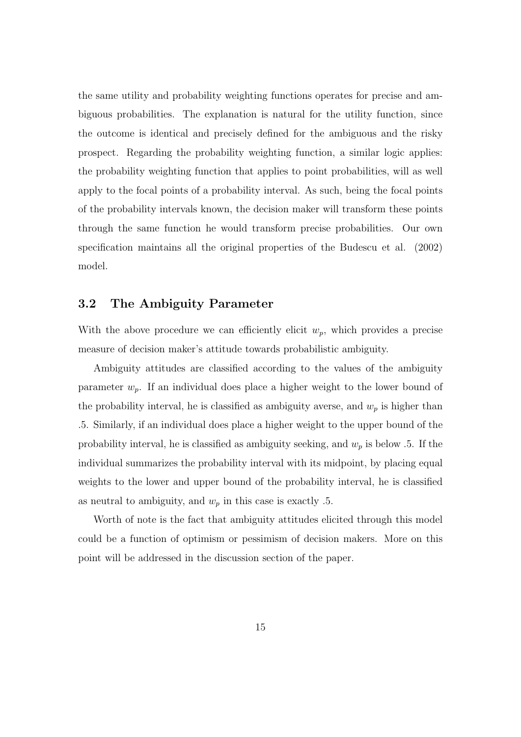the same utility and probability weighting functions operates for precise and ambiguous probabilities. The explanation is natural for the utility function, since the outcome is identical and precisely defined for the ambiguous and the risky prospect. Regarding the probability weighting function, a similar logic applies: the probability weighting function that applies to point probabilities, will as well apply to the focal points of a probability interval. As such, being the focal points of the probability intervals known, the decision maker will transform these points through the same function he would transform precise probabilities. Our own specification maintains all the original properties of the Budescu et al. (2002) model.

### 3.2 The Ambiguity Parameter

With the above procedure we can efficiently elicit  $w_p$ , which provides a precise measure of decision maker's attitude towards probabilistic ambiguity.

Ambiguity attitudes are classified according to the values of the ambiguity parameter  $w_p$ . If an individual does place a higher weight to the lower bound of the probability interval, he is classified as ambiguity averse, and  $w_p$  is higher than .5. Similarly, if an individual does place a higher weight to the upper bound of the probability interval, he is classified as ambiguity seeking, and  $w_p$  is below .5. If the individual summarizes the probability interval with its midpoint, by placing equal weights to the lower and upper bound of the probability interval, he is classified as neutral to ambiguity, and  $w_p$  in this case is exactly .5.

Worth of note is the fact that ambiguity attitudes elicited through this model could be a function of optimism or pessimism of decision makers. More on this point will be addressed in the discussion section of the paper.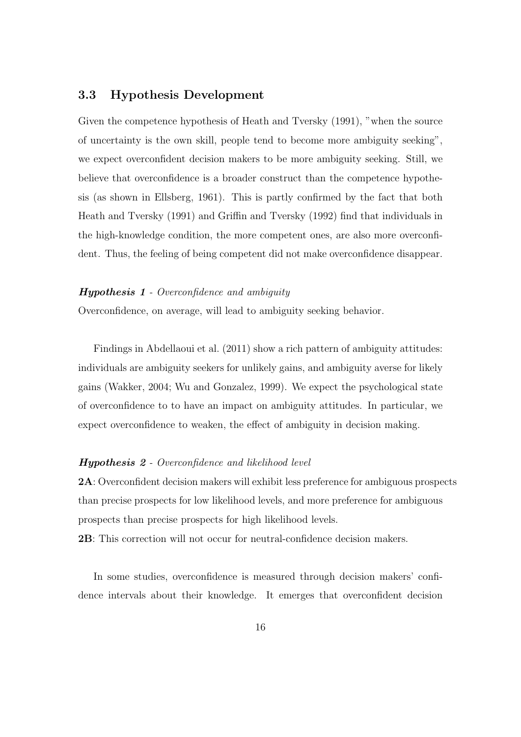### 3.3 Hypothesis Development

Given the competence hypothesis of Heath and Tversky (1991), "when the source of uncertainty is the own skill, people tend to become more ambiguity seeking", we expect overconfident decision makers to be more ambiguity seeking. Still, we believe that overconfidence is a broader construct than the competence hypothesis (as shown in Ellsberg, 1961). This is partly confirmed by the fact that both Heath and Tversky (1991) and Griffin and Tversky (1992) find that individuals in the high-knowledge condition, the more competent ones, are also more overconfident. Thus, the feeling of being competent did not make overconfidence disappear.

#### Hypothesis 1 - Overconfidence and ambiguity

Overconfidence, on average, will lead to ambiguity seeking behavior.

Findings in Abdellaoui et al. (2011) show a rich pattern of ambiguity attitudes: individuals are ambiguity seekers for unlikely gains, and ambiguity averse for likely gains (Wakker, 2004; Wu and Gonzalez, 1999). We expect the psychological state of overconfidence to to have an impact on ambiguity attitudes. In particular, we expect overconfidence to weaken, the effect of ambiguity in decision making.

#### Hypothesis 2 - Overconfidence and likelihood level

2A: Overconfident decision makers will exhibit less preference for ambiguous prospects than precise prospects for low likelihood levels, and more preference for ambiguous prospects than precise prospects for high likelihood levels.

2B: This correction will not occur for neutral-confidence decision makers.

In some studies, overconfidence is measured through decision makers' confidence intervals about their knowledge. It emerges that overconfident decision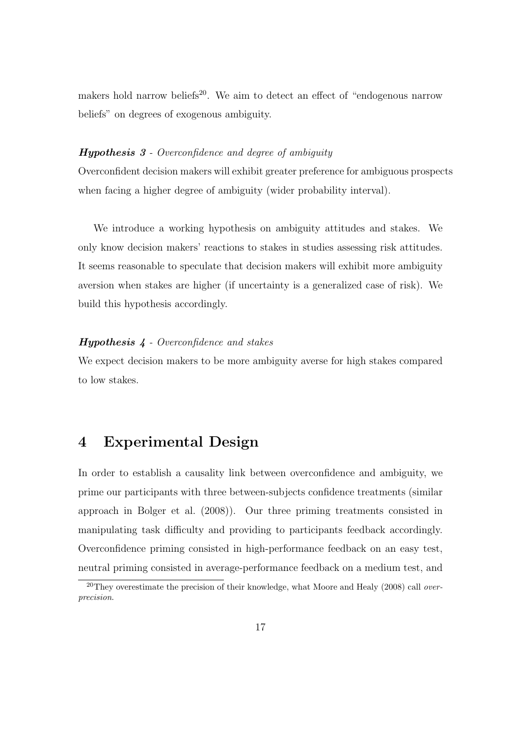makers hold narrow beliefs<sup>20</sup>. We aim to detect an effect of "endogenous narrow beliefs" on degrees of exogenous ambiguity.

#### Hypothesis 3 - Overconfidence and degree of ambiguity

Overconfident decision makers will exhibit greater preference for ambiguous prospects when facing a higher degree of ambiguity (wider probability interval).

We introduce a working hypothesis on ambiguity attitudes and stakes. We only know decision makers' reactions to stakes in studies assessing risk attitudes. It seems reasonable to speculate that decision makers will exhibit more ambiguity aversion when stakes are higher (if uncertainty is a generalized case of risk). We build this hypothesis accordingly.

#### Hypothesis 4 - Overconfidence and stakes

We expect decision makers to be more ambiguity averse for high stakes compared to low stakes.

## 4 Experimental Design

In order to establish a causality link between overconfidence and ambiguity, we prime our participants with three between-subjects confidence treatments (similar approach in Bolger et al. (2008)). Our three priming treatments consisted in manipulating task difficulty and providing to participants feedback accordingly. Overconfidence priming consisted in high-performance feedback on an easy test, neutral priming consisted in average-performance feedback on a medium test, and

<sup>&</sup>lt;sup>20</sup>They overestimate the precision of their knowledge, what Moore and Healy (2008) call *over*precision.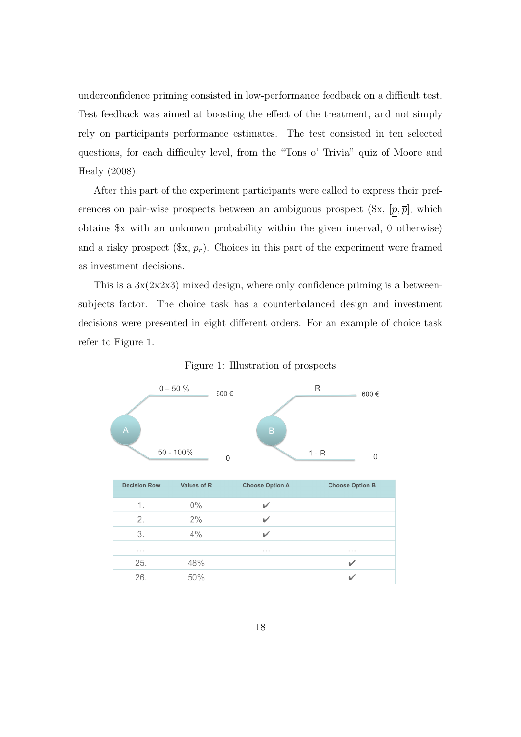underconfidence priming consisted in low-performance feedback on a difficult test. Test feedback was aimed at boosting the effect of the treatment, and not simply rely on participants performance estimates. The test consisted in ten selected questions, for each difficulty level, from the "Tons o' Trivia" quiz of Moore and Healy (2008).

After this part of the experiment participants were called to express their preferences on pair-wise prospects between an ambiguous prospect  $(\mathcal{X}, [p, \overline{p}],$  which obtains \$x with an unknown probability within the given interval, 0 otherwise) and a risky prospect  $(\mathscr{X}, p_r)$ . Choices in this part of the experiment were framed as investment decisions.

This is a  $3x(2x2x3)$  mixed design, where only confidence priming is a betweensubjects factor. The choice task has a counterbalanced design and investment decisions were presented in eight different orders. For an example of choice task refer to Figure 1.

Figure 1: Illustration of prospects

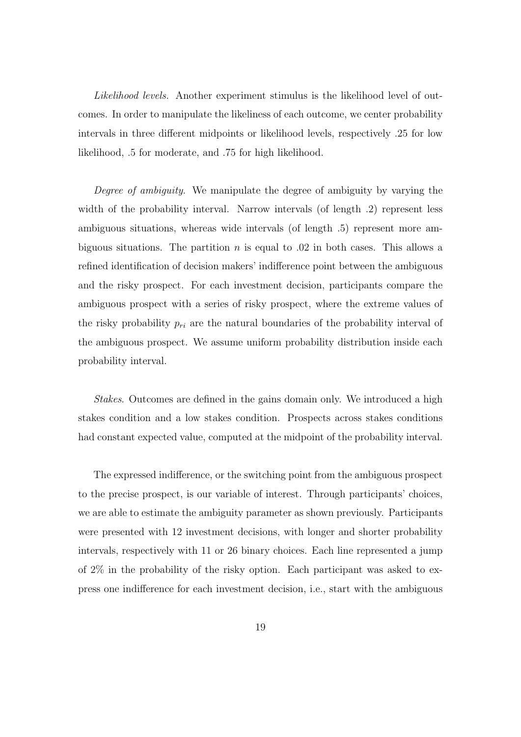Likelihood levels. Another experiment stimulus is the likelihood level of outcomes. In order to manipulate the likeliness of each outcome, we center probability intervals in three different midpoints or likelihood levels, respectively .25 for low likelihood, .5 for moderate, and .75 for high likelihood.

Degree of ambiguity. We manipulate the degree of ambiguity by varying the width of the probability interval. Narrow intervals (of length .2) represent less ambiguous situations, whereas wide intervals (of length .5) represent more ambiguous situations. The partition n is equal to  $.02$  in both cases. This allows a refined identification of decision makers' indifference point between the ambiguous and the risky prospect. For each investment decision, participants compare the ambiguous prospect with a series of risky prospect, where the extreme values of the risky probability  $p_{ri}$  are the natural boundaries of the probability interval of the ambiguous prospect. We assume uniform probability distribution inside each probability interval.

Stakes. Outcomes are defined in the gains domain only. We introduced a high stakes condition and a low stakes condition. Prospects across stakes conditions had constant expected value, computed at the midpoint of the probability interval.

The expressed indifference, or the switching point from the ambiguous prospect to the precise prospect, is our variable of interest. Through participants' choices, we are able to estimate the ambiguity parameter as shown previously. Participants were presented with 12 investment decisions, with longer and shorter probability intervals, respectively with 11 or 26 binary choices. Each line represented a jump of 2% in the probability of the risky option. Each participant was asked to express one indifference for each investment decision, i.e., start with the ambiguous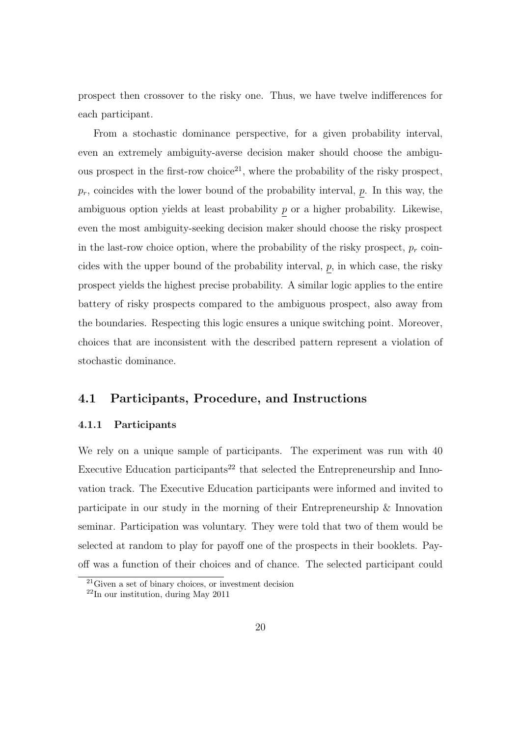prospect then crossover to the risky one. Thus, we have twelve indifferences for each participant.

From a stochastic dominance perspective, for a given probability interval, even an extremely ambiguity-averse decision maker should choose the ambiguous prospect in the first-row choice<sup>21</sup>, where the probability of the risky prospect,  $p_r$ , coincides with the lower bound of the probability interval, p. In this way, the ambiguous option yields at least probability p or a higher probability. Likewise, even the most ambiguity-seeking decision maker should choose the risky prospect in the last-row choice option, where the probability of the risky prospect,  $p_r$  coincides with the upper bound of the probability interval,  $p$ , in which case, the risky prospect yields the highest precise probability. A similar logic applies to the entire battery of risky prospects compared to the ambiguous prospect, also away from the boundaries. Respecting this logic ensures a unique switching point. Moreover, choices that are inconsistent with the described pattern represent a violation of stochastic dominance.

### 4.1 Participants, Procedure, and Instructions

#### 4.1.1 Participants

We rely on a unique sample of participants. The experiment was run with 40 Executive Education participants<sup>22</sup> that selected the Entrepreneurship and Innovation track. The Executive Education participants were informed and invited to participate in our study in the morning of their Entrepreneurship & Innovation seminar. Participation was voluntary. They were told that two of them would be selected at random to play for payoff one of the prospects in their booklets. Payoff was a function of their choices and of chance. The selected participant could

 $21$ Given a set of binary choices, or investment decision

 $22$ In our institution, during May 2011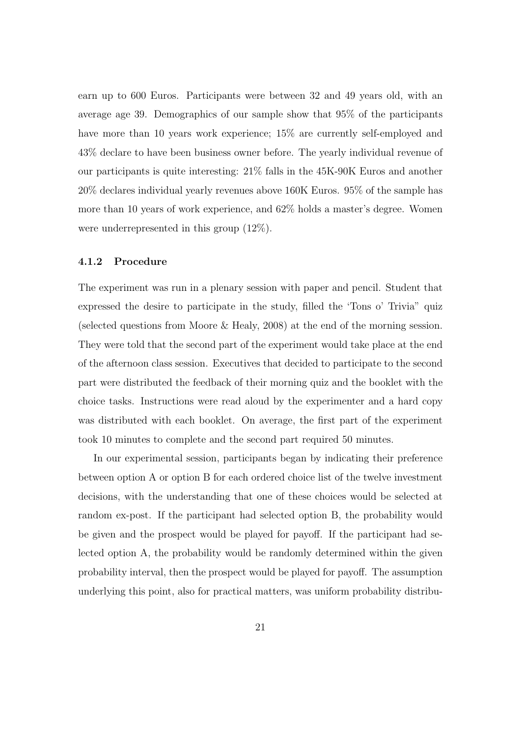earn up to 600 Euros. Participants were between 32 and 49 years old, with an average age 39. Demographics of our sample show that 95% of the participants have more than 10 years work experience; 15% are currently self-employed and 43% declare to have been business owner before. The yearly individual revenue of our participants is quite interesting: 21% falls in the 45K-90K Euros and another 20% declares individual yearly revenues above 160K Euros. 95% of the sample has more than 10 years of work experience, and 62% holds a master's degree. Women were underrepresented in this group (12%).

#### 4.1.2 Procedure

The experiment was run in a plenary session with paper and pencil. Student that expressed the desire to participate in the study, filled the 'Tons o' Trivia" quiz (selected questions from Moore & Healy, 2008) at the end of the morning session. They were told that the second part of the experiment would take place at the end of the afternoon class session. Executives that decided to participate to the second part were distributed the feedback of their morning quiz and the booklet with the choice tasks. Instructions were read aloud by the experimenter and a hard copy was distributed with each booklet. On average, the first part of the experiment took 10 minutes to complete and the second part required 50 minutes.

In our experimental session, participants began by indicating their preference between option A or option B for each ordered choice list of the twelve investment decisions, with the understanding that one of these choices would be selected at random ex-post. If the participant had selected option B, the probability would be given and the prospect would be played for payoff. If the participant had selected option A, the probability would be randomly determined within the given probability interval, then the prospect would be played for payoff. The assumption underlying this point, also for practical matters, was uniform probability distribu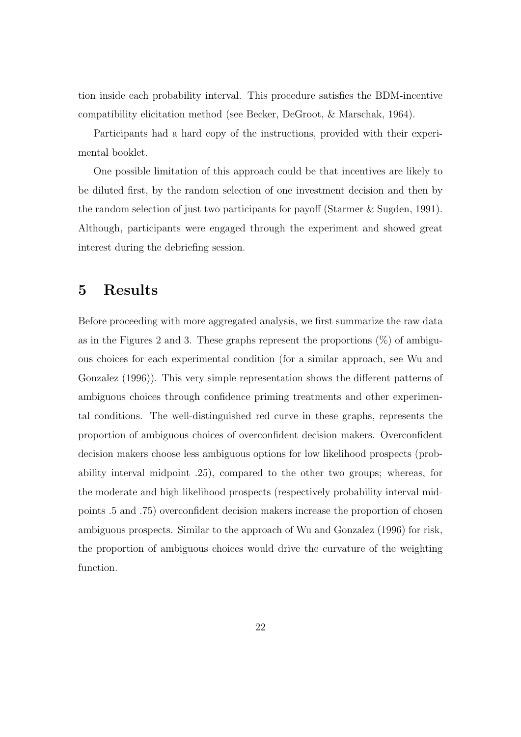tion inside each probability interval. This procedure satisfies the BDM-incentive compatibility elicitation method (see Becker, DeGroot, & Marschak, 1964).

Participants had a hard copy of the instructions, provided with their experimental booklet.

One possible limitation of this approach could be that incentives are likely to be diluted first, by the random selection of one investment decision and then by the random selection of just two participants for payoff (Starmer & Sugden, 1991). Although, participants were engaged through the experiment and showed great interest during the debriefing session.

## 5 Results

Before proceeding with more aggregated analysis, we first summarize the raw data as in the Figures 2 and 3. These graphs represent the proportions  $(\%)$  of ambiguous choices for each experimental condition (for a similar approach, see Wu and Gonzalez (1996)). This very simple representation shows the different patterns of ambiguous choices through confidence priming treatments and other experimental conditions. The well-distinguished red curve in these graphs, represents the proportion of ambiguous choices of overconfident decision makers. Overconfident decision makers choose less ambiguous options for low likelihood prospects (probability interval midpoint .25), compared to the other two groups; whereas, for the moderate and high likelihood prospects (respectively probability interval midpoints .5 and .75) overconfident decision makers increase the proportion of chosen ambiguous prospects. Similar to the approach of Wu and Gonzalez (1996) for risk, the proportion of ambiguous choices would drive the curvature of the weighting function.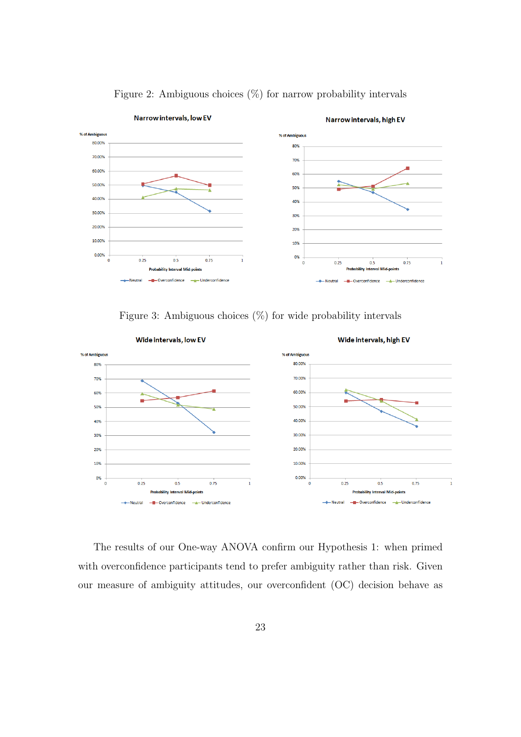

Figure 2: Ambiguous choices  $(\%)$  for narrow probability intervals

Figure 3: Ambiguous choices  $(\%)$  for wide probability intervals



The results of our One-way ANOVA confirm our Hypothesis 1: when primed with overconfidence participants tend to prefer ambiguity rather than risk. Given our measure of ambiguity attitudes, our overconfident (OC) decision behave as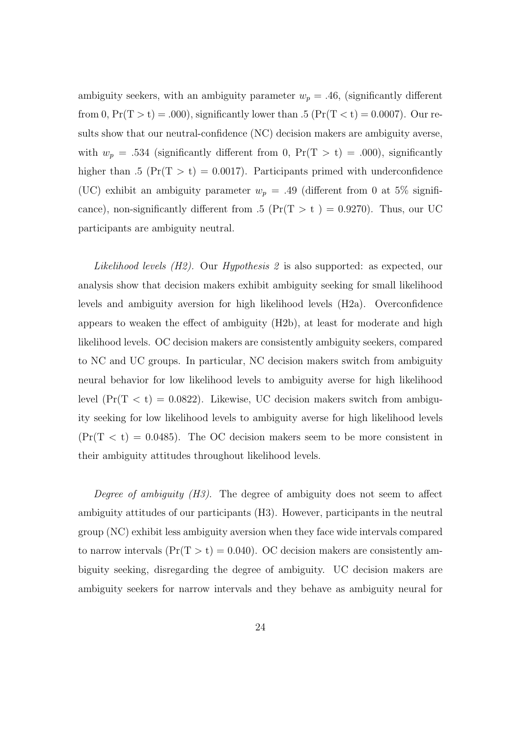ambiguity seekers, with an ambiguity parameter  $w_p = .46$ , (significantly different from 0,  $Pr(T > t) = .000$ , significantly lower than .5 ( $Pr(T < t) = 0.0007$ ). Our results show that our neutral-confidence (NC) decision makers are ambiguity averse, with  $w_p = .534$  (significantly different from 0, Pr(T > t) = .000), significantly higher than .5 ( $Pr(T > t) = 0.0017$ ). Participants primed with underconfidence (UC) exhibit an ambiguity parameter  $w_p = .49$  (different from 0 at 5% significance), non-significantly different from .5 ( $Pr(T > t) = 0.9270$ ). Thus, our UC participants are ambiguity neutral.

Likelihood levels (H2). Our Hypothesis 2 is also supported: as expected, our analysis show that decision makers exhibit ambiguity seeking for small likelihood levels and ambiguity aversion for high likelihood levels (H2a). Overconfidence appears to weaken the effect of ambiguity (H2b), at least for moderate and high likelihood levels. OC decision makers are consistently ambiguity seekers, compared to NC and UC groups. In particular, NC decision makers switch from ambiguity neural behavior for low likelihood levels to ambiguity averse for high likelihood level  $(\Pr(T < t) = 0.0822)$ . Likewise, UC decision makers switch from ambiguity seeking for low likelihood levels to ambiguity averse for high likelihood levels  $(\Pr(T < t) = 0.0485)$ . The OC decision makers seem to be more consistent in their ambiguity attitudes throughout likelihood levels.

Degree of ambiguity  $(H3)$ . The degree of ambiguity does not seem to affect ambiguity attitudes of our participants (H3). However, participants in the neutral group (NC) exhibit less ambiguity aversion when they face wide intervals compared to narrow intervals  $(\Pr(T > t) = 0.040)$ . OC decision makers are consistently ambiguity seeking, disregarding the degree of ambiguity. UC decision makers are ambiguity seekers for narrow intervals and they behave as ambiguity neural for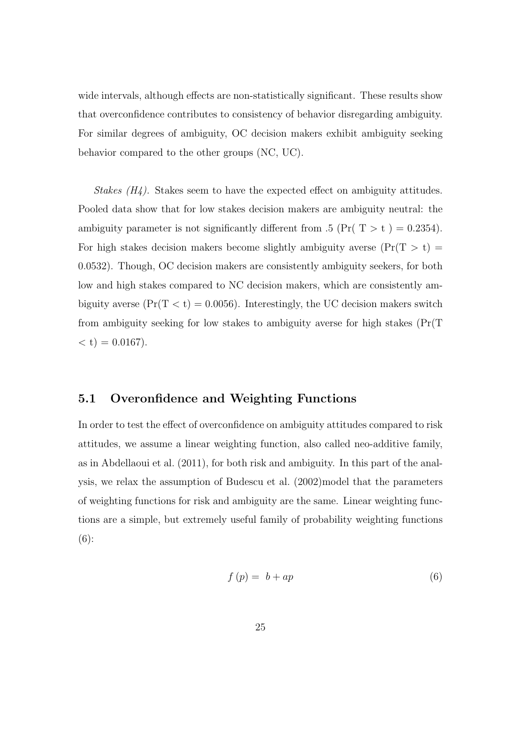wide intervals, although effects are non-statistically significant. These results show that overconfidence contributes to consistency of behavior disregarding ambiguity. For similar degrees of ambiguity, OC decision makers exhibit ambiguity seeking behavior compared to the other groups (NC, UC).

Stakes  $(H_4)$ . Stakes seem to have the expected effect on ambiguity attitudes. Pooled data show that for low stakes decision makers are ambiguity neutral: the ambiguity parameter is not significantly different from .5 (Pr(  $T > t$ ) = 0.2354). For high stakes decision makers become slightly ambiguity averse (Pr(T  $>$  t)  $=$ 0.0532). Though, OC decision makers are consistently ambiguity seekers, for both low and high stakes compared to NC decision makers, which are consistently ambiguity averse  $(\Pr(T < t) = 0.0056)$ . Interestingly, the UC decision makers switch from ambiguity seeking for low stakes to ambiguity averse for high stakes (Pr(T  $(1) = 0.0167$ .

### 5.1 Overonfidence and Weighting Functions

In order to test the effect of overconfidence on ambiguity attitudes compared to risk attitudes, we assume a linear weighting function, also called neo-additive family, as in Abdellaoui et al. (2011), for both risk and ambiguity. In this part of the analysis, we relax the assumption of Budescu et al. (2002)model that the parameters of weighting functions for risk and ambiguity are the same. Linear weighting functions are a simple, but extremely useful family of probability weighting functions (6):

$$
f(p) = b + ap \tag{6}
$$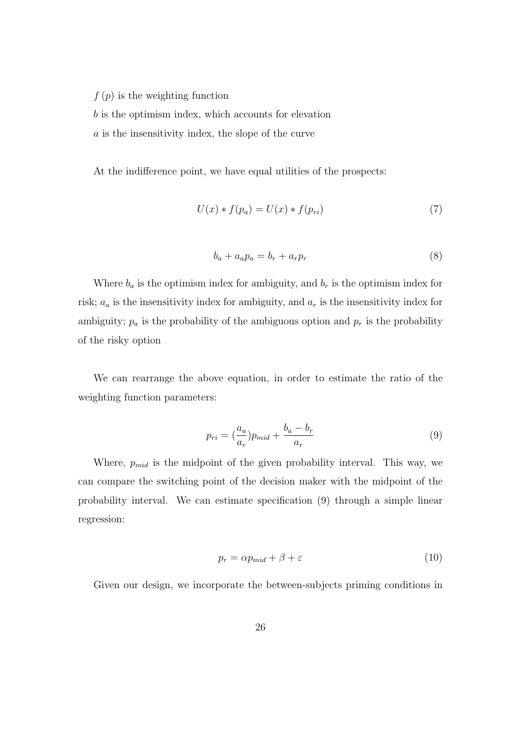$f(p)$  is the weighting function

b is the optimism index, which accounts for elevation

a is the insensitivity index, the slope of the curve

At the indifference point, we have equal utilities of the prospects:

$$
U(x) * f(p_a) = U(x) * f(p_{ri})
$$
\n<sup>(7)</sup>

$$
b_a + a_a p_a = b_r + a_r p_r \tag{8}
$$

Where  $b_a$  is the optimism index for ambiguity, and  $b_r$  is the optimism index for risk;  $a_a$  is the insensitivity index for ambiguity, and  $a_r$  is the insensitivity index for ambiguity;  $p_a$  is the probability of the ambiguous option and  $p_r$  is the probability of the risky option

We can rearrange the above equation, in order to estimate the ratio of the weighting function parameters:

$$
p_{ri} = \left(\frac{a_a}{a_r}\right) p_{mid} + \frac{b_a - b_r}{a_r} \tag{9}
$$

Where,  $p_{mid}$  is the midpoint of the given probability interval. This way, we can compare the switching point of the decision maker with the midpoint of the probability interval. We can estimate specification (9) through a simple linear regression:

$$
p_r = \alpha p_{mid} + \beta + \varepsilon \tag{10}
$$

Given our design, we incorporate the between-subjects priming conditions in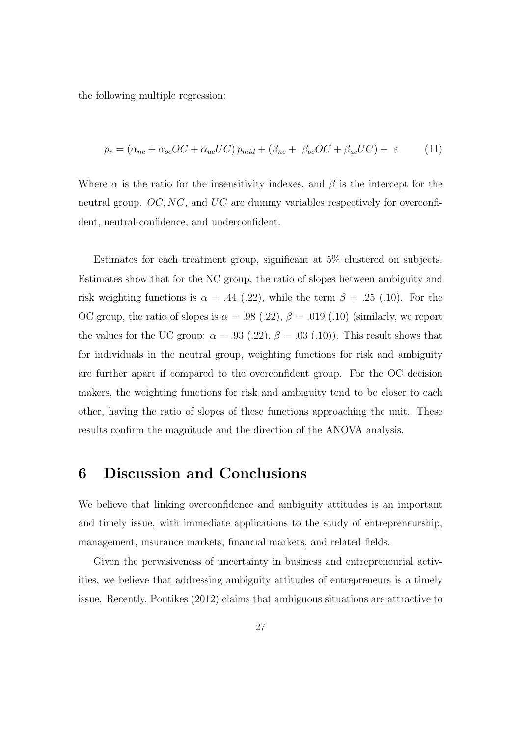the following multiple regression:

$$
p_r = (\alpha_{nc} + \alpha_{oc}OC + \alpha_{uc}UC) p_{mid} + (\beta_{nc} + \beta_{oc}OC + \beta_{uc}UC) + \varepsilon \tag{11}
$$

Where  $\alpha$  is the ratio for the insensitivity indexes, and  $\beta$  is the intercept for the neutral group. OC, NC, and UC are dummy variables respectively for overconfident, neutral-confidence, and underconfident.

Estimates for each treatment group, significant at 5% clustered on subjects. Estimates show that for the NC group, the ratio of slopes between ambiguity and risk weighting functions is  $\alpha = .44$  (.22), while the term  $\beta = .25$  (.10). For the OC group, the ratio of slopes is  $\alpha = .98$  (.22),  $\beta = .019$  (.10) (similarly, we report the values for the UC group:  $\alpha = .93$  (.22),  $\beta = .03$  (.10)). This result shows that for individuals in the neutral group, weighting functions for risk and ambiguity are further apart if compared to the overconfident group. For the OC decision makers, the weighting functions for risk and ambiguity tend to be closer to each other, having the ratio of slopes of these functions approaching the unit. These results confirm the magnitude and the direction of the ANOVA analysis.

## 6 Discussion and Conclusions

We believe that linking overconfidence and ambiguity attitudes is an important and timely issue, with immediate applications to the study of entrepreneurship, management, insurance markets, financial markets, and related fields.

Given the pervasiveness of uncertainty in business and entrepreneurial activities, we believe that addressing ambiguity attitudes of entrepreneurs is a timely issue. Recently, Pontikes (2012) claims that ambiguous situations are attractive to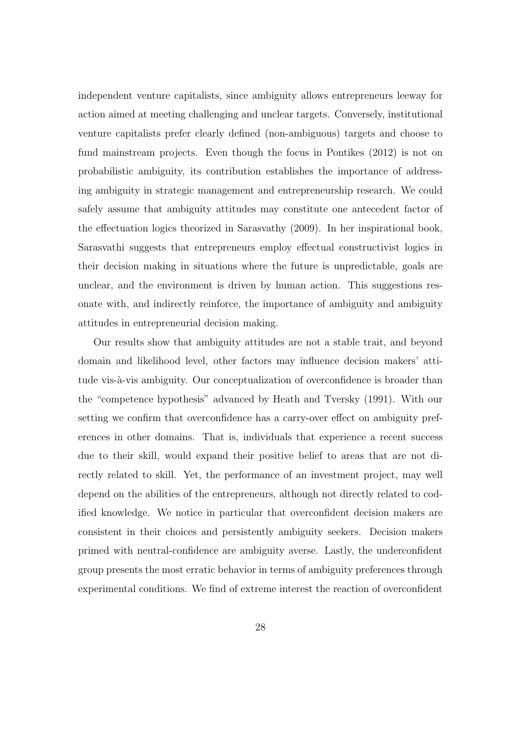independent venture capitalists, since ambiguity allows entrepreneurs leeway for action aimed at meeting challenging and unclear targets. Conversely, institutional venture capitalists prefer clearly defined (non-ambiguous) targets and choose to fund mainstream projects. Even though the focus in Pontikes (2012) is not on probabilistic ambiguity, its contribution establishes the importance of addressing ambiguity in strategic management and entrepreneurship research. We could safely assume that ambiguity attitudes may constitute one antecedent factor of the effectuation logics theorized in Sarasvathy (2009). In her inspirational book, Sarasvathi suggests that entrepreneurs employ effectual constructivist logics in their decision making in situations where the future is unpredictable, goals are unclear, and the environment is driven by human action. This suggestions resonate with, and indirectly reinforce, the importance of ambiguity and ambiguity attitudes in entrepreneurial decision making.

Our results show that ambiguity attitudes are not a stable trait, and beyond domain and likelihood level, other factors may influence decision makers' attitude vis-à-vis ambiguity. Our conceptualization of overconfidence is broader than the "competence hypothesis" advanced by Heath and Tversky (1991). With our setting we confirm that overconfidence has a carry-over effect on ambiguity preferences in other domains. That is, individuals that experience a recent success due to their skill, would expand their positive belief to areas that are not directly related to skill. Yet, the performance of an investment project, may well depend on the abilities of the entrepreneurs, although not directly related to codified knowledge. We notice in particular that overconfident decision makers are consistent in their choices and persistently ambiguity seekers. Decision makers primed with neutral-confidence are ambiguity averse. Lastly, the underconfident group presents the most erratic behavior in terms of ambiguity preferences through experimental conditions. We find of extreme interest the reaction of overconfident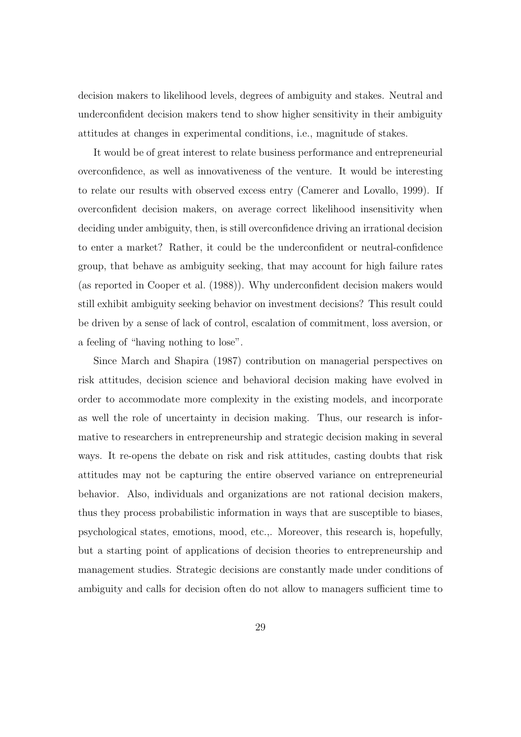decision makers to likelihood levels, degrees of ambiguity and stakes. Neutral and underconfident decision makers tend to show higher sensitivity in their ambiguity attitudes at changes in experimental conditions, i.e., magnitude of stakes.

It would be of great interest to relate business performance and entrepreneurial overconfidence, as well as innovativeness of the venture. It would be interesting to relate our results with observed excess entry (Camerer and Lovallo, 1999). If overconfident decision makers, on average correct likelihood insensitivity when deciding under ambiguity, then, is still overconfidence driving an irrational decision to enter a market? Rather, it could be the underconfident or neutral-confidence group, that behave as ambiguity seeking, that may account for high failure rates (as reported in Cooper et al. (1988)). Why underconfident decision makers would still exhibit ambiguity seeking behavior on investment decisions? This result could be driven by a sense of lack of control, escalation of commitment, loss aversion, or a feeling of "having nothing to lose".

Since March and Shapira (1987) contribution on managerial perspectives on risk attitudes, decision science and behavioral decision making have evolved in order to accommodate more complexity in the existing models, and incorporate as well the role of uncertainty in decision making. Thus, our research is informative to researchers in entrepreneurship and strategic decision making in several ways. It re-opens the debate on risk and risk attitudes, casting doubts that risk attitudes may not be capturing the entire observed variance on entrepreneurial behavior. Also, individuals and organizations are not rational decision makers, thus they process probabilistic information in ways that are susceptible to biases, psychological states, emotions, mood, etc.,. Moreover, this research is, hopefully, but a starting point of applications of decision theories to entrepreneurship and management studies. Strategic decisions are constantly made under conditions of ambiguity and calls for decision often do not allow to managers sufficient time to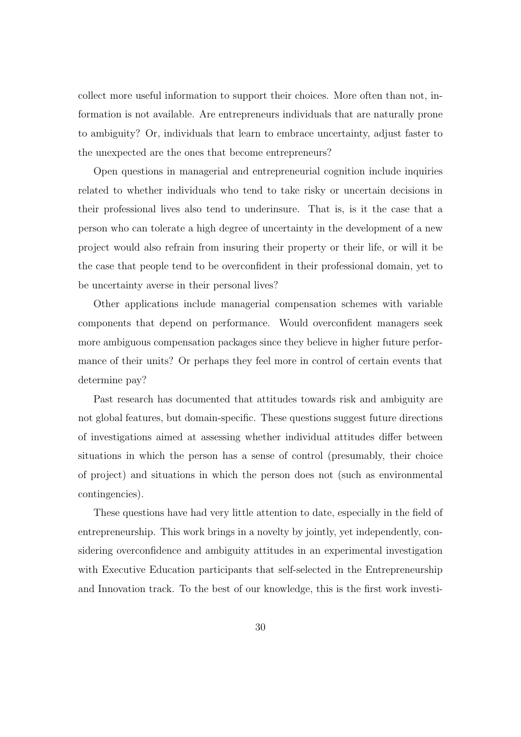collect more useful information to support their choices. More often than not, information is not available. Are entrepreneurs individuals that are naturally prone to ambiguity? Or, individuals that learn to embrace uncertainty, adjust faster to the unexpected are the ones that become entrepreneurs?

Open questions in managerial and entrepreneurial cognition include inquiries related to whether individuals who tend to take risky or uncertain decisions in their professional lives also tend to underinsure. That is, is it the case that a person who can tolerate a high degree of uncertainty in the development of a new project would also refrain from insuring their property or their life, or will it be the case that people tend to be overconfident in their professional domain, yet to be uncertainty averse in their personal lives?

Other applications include managerial compensation schemes with variable components that depend on performance. Would overconfident managers seek more ambiguous compensation packages since they believe in higher future performance of their units? Or perhaps they feel more in control of certain events that determine pay?

Past research has documented that attitudes towards risk and ambiguity are not global features, but domain-specific. These questions suggest future directions of investigations aimed at assessing whether individual attitudes differ between situations in which the person has a sense of control (presumably, their choice of project) and situations in which the person does not (such as environmental contingencies).

These questions have had very little attention to date, especially in the field of entrepreneurship. This work brings in a novelty by jointly, yet independently, considering overconfidence and ambiguity attitudes in an experimental investigation with Executive Education participants that self-selected in the Entrepreneurship and Innovation track. To the best of our knowledge, this is the first work investi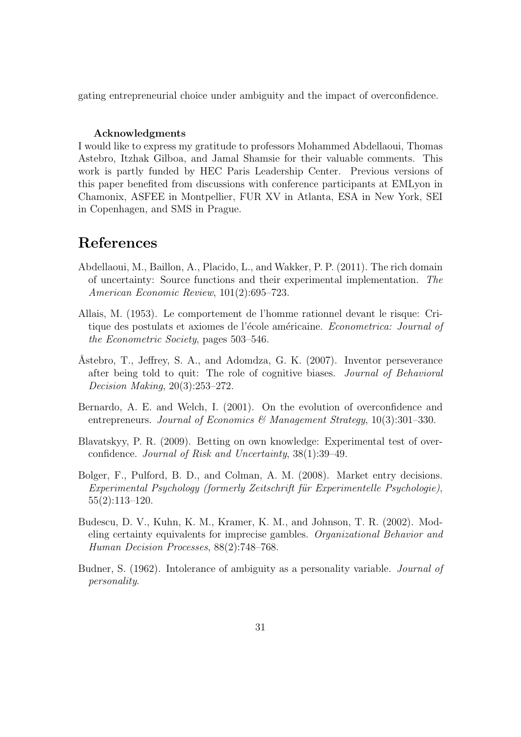gating entrepreneurial choice under ambiguity and the impact of overconfidence.

#### Acknowledgments

I would like to express my gratitude to professors Mohammed Abdellaoui, Thomas Astebro, Itzhak Gilboa, and Jamal Shamsie for their valuable comments. This work is partly funded by HEC Paris Leadership Center. Previous versions of this paper benefited from discussions with conference participants at EMLyon in Chamonix, ASFEE in Montpellier, FUR XV in Atlanta, ESA in New York, SEI in Copenhagen, and SMS in Prague.

## References

- Abdellaoui, M., Baillon, A., Placido, L., and Wakker, P. P. (2011). The rich domain of uncertainty: Source functions and their experimental implementation. The American Economic Review, 101(2):695–723.
- Allais, M. (1953). Le comportement de l'homme rationnel devant le risque: Critique des postulats et axiomes de l'école américaine. Econometrica: Journal of the Econometric Society, pages 503–546.
- Åstebro, T., Jeffrey, S. A., and Adomdza, G. K. (2007). Inventor perseverance after being told to quit: The role of cognitive biases. Journal of Behavioral Decision Making, 20(3):253–272.
- Bernardo, A. E. and Welch, I. (2001). On the evolution of overconfidence and entrepreneurs. Journal of Economics & Management Strategy,  $10(3):301-330$ .
- Blavatskyy, P. R. (2009). Betting on own knowledge: Experimental test of overconfidence. Journal of Risk and Uncertainty, 38(1):39–49.
- Bolger, F., Pulford, B. D., and Colman, A. M. (2008). Market entry decisions. Experimental Psychology (formerly Zeitschrift für Experimentelle Psychologie), 55(2):113–120.
- Budescu, D. V., Kuhn, K. M., Kramer, K. M., and Johnson, T. R. (2002). Modeling certainty equivalents for imprecise gambles. Organizational Behavior and Human Decision Processes, 88(2):748–768.
- Budner, S. (1962). Intolerance of ambiguity as a personality variable. *Journal of* personality.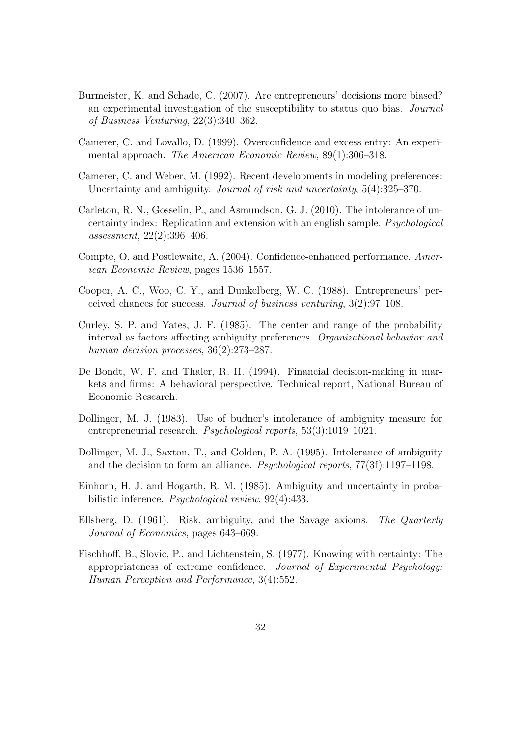- Burmeister, K. and Schade, C. (2007). Are entrepreneurs' decisions more biased? an experimental investigation of the susceptibility to status quo bias. Journal of Business Venturing, 22(3):340–362.
- Camerer, C. and Lovallo, D. (1999). Overconfidence and excess entry: An experimental approach. The American Economic Review, 89(1):306-318.
- Camerer, C. and Weber, M. (1992). Recent developments in modeling preferences: Uncertainty and ambiguity. *Journal of risk and uncertainty*, 5(4):325–370.
- Carleton, R. N., Gosselin, P., and Asmundson, G. J. (2010). The intolerance of uncertainty index: Replication and extension with an english sample. Psychological assessment, 22(2):396–406.
- Compte, O. and Postlewaite, A. (2004). Confidence-enhanced performance. American Economic Review, pages 1536–1557.
- Cooper, A. C., Woo, C. Y., and Dunkelberg, W. C. (1988). Entrepreneurs' perceived chances for success. Journal of business venturing, 3(2):97–108.
- Curley, S. P. and Yates, J. F. (1985). The center and range of the probability interval as factors affecting ambiguity preferences. Organizational behavior and human decision processes,  $36(2):273-287$ .
- De Bondt, W. F. and Thaler, R. H. (1994). Financial decision-making in markets and firms: A behavioral perspective. Technical report, National Bureau of Economic Research.
- Dollinger, M. J. (1983). Use of budner's intolerance of ambiguity measure for entrepreneurial research. Psychological reports, 53(3):1019–1021.
- Dollinger, M. J., Saxton, T., and Golden, P. A. (1995). Intolerance of ambiguity and the decision to form an alliance. Psychological reports, 77(3f):1197–1198.
- Einhorn, H. J. and Hogarth, R. M. (1985). Ambiguity and uncertainty in probabilistic inference. Psychological review, 92(4):433.
- Ellsberg, D. (1961). Risk, ambiguity, and the Savage axioms. The Quarterly Journal of Economics, pages 643–669.
- Fischhoff, B., Slovic, P., and Lichtenstein, S. (1977). Knowing with certainty: The appropriateness of extreme confidence. Journal of Experimental Psychology: Human Perception and Performance, 3(4):552.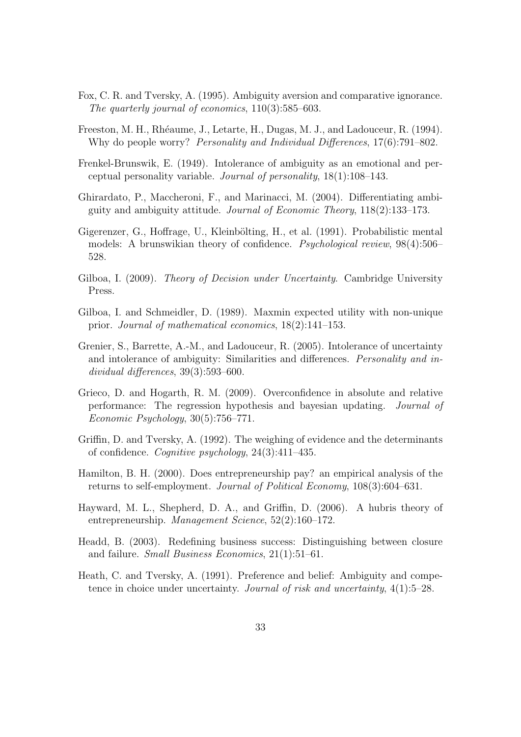- Fox, C. R. and Tversky, A. (1995). Ambiguity aversion and comparative ignorance. The quarterly journal of economics, 110(3):585–603.
- Freeston, M. H., Rhéaume, J., Letarte, H., Dugas, M. J., and Ladouceur, R. (1994). Why do people worry? *Personality and Individual Differences*, 17(6):791–802.
- Frenkel-Brunswik, E. (1949). Intolerance of ambiguity as an emotional and perceptual personality variable. Journal of personality, 18(1):108–143.
- Ghirardato, P., Maccheroni, F., and Marinacci, M. (2004). Differentiating ambiguity and ambiguity attitude. Journal of Economic Theory, 118(2):133–173.
- Gigerenzer, G., Hoffrage, U., Kleinbölting, H., et al. (1991). Probabilistic mental models: A brunswikian theory of confidence. Psychological review, 98(4):506– 528.
- Gilboa, I. (2009). *Theory of Decision under Uncertainty*. Cambridge University Press.
- Gilboa, I. and Schmeidler, D. (1989). Maxmin expected utility with non-unique prior. Journal of mathematical economics, 18(2):141–153.
- Grenier, S., Barrette, A.-M., and Ladouceur, R. (2005). Intolerance of uncertainty and intolerance of ambiguity: Similarities and differences. Personality and individual differences, 39(3):593–600.
- Grieco, D. and Hogarth, R. M. (2009). Overconfidence in absolute and relative performance: The regression hypothesis and bayesian updating. Journal of Economic Psychology, 30(5):756–771.
- Griffin, D. and Tversky, A. (1992). The weighing of evidence and the determinants of confidence. Cognitive psychology, 24(3):411–435.
- Hamilton, B. H. (2000). Does entrepreneurship pay? an empirical analysis of the returns to self-employment. Journal of Political Economy, 108(3):604–631.
- Hayward, M. L., Shepherd, D. A., and Griffin, D. (2006). A hubris theory of entrepreneurship. Management Science, 52(2):160–172.
- Headd, B. (2003). Redefining business success: Distinguishing between closure and failure. Small Business Economics, 21(1):51–61.
- Heath, C. and Tversky, A. (1991). Preference and belief: Ambiguity and competence in choice under uncertainty. Journal of risk and uncertainty, 4(1):5–28.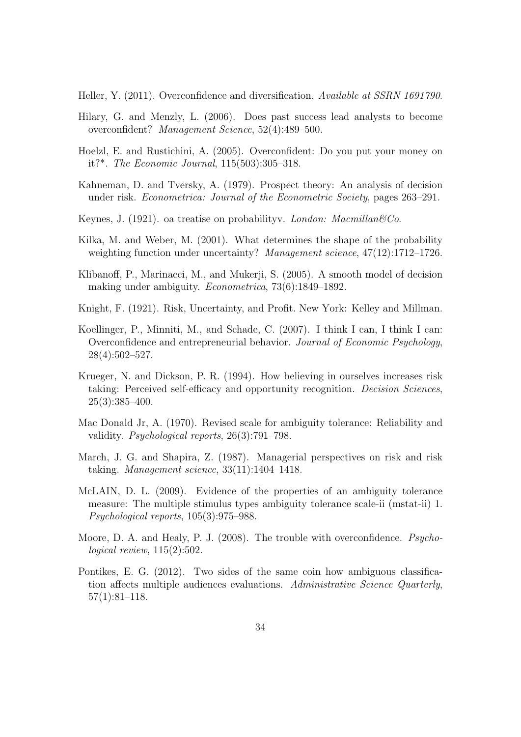Heller, Y. (2011). Overconfidence and diversification. Available at SSRN 1691790.

- Hilary, G. and Menzly, L. (2006). Does past success lead analysts to become overconfident? Management Science, 52(4):489–500.
- Hoelzl, E. and Rustichini, A. (2005). Overconfident: Do you put your money on it?\*. The Economic Journal, 115(503):305–318.
- Kahneman, D. and Tversky, A. (1979). Prospect theory: An analysis of decision under risk. Econometrica: Journal of the Econometric Society, pages 263–291.
- Keynes, J. (1921). oa treatise on probabilityv. London: Macmillan  $\mathcal{C}_0$ .
- Kilka, M. and Weber, M. (2001). What determines the shape of the probability weighting function under uncertainty? Management science, 47(12):1712-1726.
- Klibanoff, P., Marinacci, M., and Mukerji, S. (2005). A smooth model of decision making under ambiguity. Econometrica, 73(6):1849–1892.
- Knight, F. (1921). Risk, Uncertainty, and Profit. New York: Kelley and Millman.
- Koellinger, P., Minniti, M., and Schade, C. (2007). I think I can, I think I can: Overconfidence and entrepreneurial behavior. Journal of Economic Psychology, 28(4):502–527.
- Krueger, N. and Dickson, P. R. (1994). How believing in ourselves increases risk taking: Perceived self-efficacy and opportunity recognition. Decision Sciences, 25(3):385–400.
- Mac Donald Jr, A. (1970). Revised scale for ambiguity tolerance: Reliability and validity. Psychological reports, 26(3):791–798.
- March, J. G. and Shapira, Z. (1987). Managerial perspectives on risk and risk taking. Management science, 33(11):1404–1418.
- McLAIN, D. L. (2009). Evidence of the properties of an ambiguity tolerance measure: The multiple stimulus types ambiguity tolerance scale-ii (mstat-ii) 1. Psychological reports, 105(3):975–988.
- Moore, D. A. and Healy, P. J. (2008). The trouble with overconfidence. Psychological review, 115(2):502.
- Pontikes, E. G. (2012). Two sides of the same coin how ambiguous classification affects multiple audiences evaluations. Administrative Science Quarterly, 57(1):81–118.